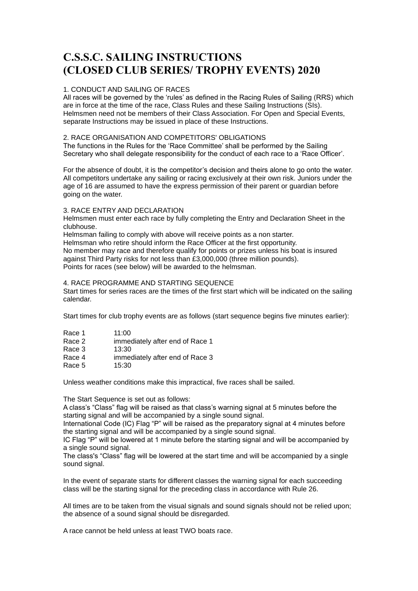# **C.S.S.C. SAILING INSTRUCTIONS (CLOSED CLUB SERIES/ TROPHY EVENTS) 2020**

## 1. CONDUCT AND SAILING OF RACES

All races will be governed by the 'rules' as defined in the Racing Rules of Sailing (RRS) which are in force at the time of the race, Class Rules and these Sailing Instructions (SIs). Helmsmen need not be members of their Class Association. For Open and Special Events, separate Instructions may be issued in place of these Instructions.

## 2. RACE ORGANISATION AND COMPETITORS' OBLIGATIONS

The functions in the Rules for the 'Race Committee' shall be performed by the Sailing Secretary who shall delegate responsibility for the conduct of each race to a 'Race Officer'.

For the absence of doubt, it is the competitor's decision and theirs alone to go onto the water. All competitors undertake any sailing or racing exclusively at their own risk. Juniors under the age of 16 are assumed to have the express permission of their parent or guardian before going on the water.

#### 3. RACE ENTRY AND DECLARATION

Helmsmen must enter each race by fully completing the Entry and Declaration Sheet in the clubhouse.

Helmsman failing to comply with above will receive points as a non starter.

Helmsman who retire should inform the Race Officer at the first opportunity. No member may race and therefore qualify for points or prizes unless his boat is insured against Third Party risks for not less than £3,000,000 (three million pounds). Points for races (see below) will be awarded to the helmsman.

## 4. RACE PROGRAMME AND STARTING SEQUENCE

Start times for series races are the times of the first start which will be indicated on the sailing calendar.

Start times for club trophy events are as follows (start sequence begins five minutes earlier):

| Race 1  | 11:00                         |
|---------|-------------------------------|
| $D_{Q}$ | immodiately ofter and of Doop |

- Race 2 immediately after end of Race 1
- Race 3 13:30<br>Race 4 immer
- immediately after end of Race 3<br>15:30
- Race 5

Unless weather conditions make this impractical, five races shall be sailed.

The Start Sequence is set out as follows:

A class's "Class" flag will be raised as that class's warning signal at 5 minutes before the starting signal and will be accompanied by a single sound signal.

International Code (IC) Flag "P" will be raised as the preparatory signal at 4 minutes before the starting signal and will be accompanied by a single sound signal.

IC Flag "P" will be lowered at 1 minute before the starting signal and will be accompanied by a single sound signal.

The class's "Class" flag will be lowered at the start time and will be accompanied by a single sound signal.

In the event of separate starts for different classes the warning signal for each succeeding class will be the starting signal for the preceding class in accordance with Rule 26.

All times are to be taken from the visual signals and sound signals should not be relied upon; the absence of a sound signal should be disregarded.

A race cannot be held unless at least TWO boats race.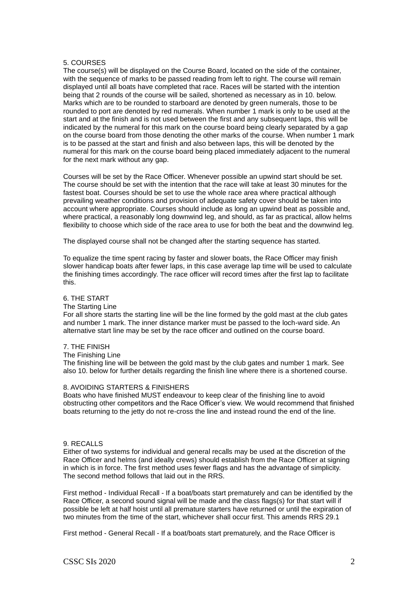## 5. COURSES

The course(s) will be displayed on the Course Board, located on the side of the container, with the sequence of marks to be passed reading from left to right. The course will remain displayed until all boats have completed that race. Races will be started with the intention being that 2 rounds of the course will be sailed, shortened as necessary as in 10. below. Marks which are to be rounded to starboard are denoted by green numerals, those to be rounded to port are denoted by red numerals. When number 1 mark is only to be used at the start and at the finish and is not used between the first and any subsequent laps, this will be indicated by the numeral for this mark on the course board being clearly separated by a gap on the course board from those denoting the other marks of the course. When number 1 mark is to be passed at the start and finish and also between laps, this will be denoted by the numeral for this mark on the course board being placed immediately adjacent to the numeral for the next mark without any gap.

Courses will be set by the Race Officer. Whenever possible an upwind start should be set. The course should be set with the intention that the race will take at least 30 minutes for the fastest boat. Courses should be set to use the whole race area where practical although prevailing weather conditions and provision of adequate safety cover should be taken into account where appropriate. Courses should include as long an upwind beat as possible and, where practical, a reasonably long downwind leg, and should, as far as practical, allow helms flexibility to choose which side of the race area to use for both the beat and the downwind leg.

The displayed course shall not be changed after the starting sequence has started.

To equalize the time spent racing by faster and slower boats, the Race Officer may finish slower handicap boats after fewer laps, in this case average lap time will be used to calculate the finishing times accordingly. The race officer will record times after the first lap to facilitate this.

## 6. THE START

#### The Starting Line

For all shore starts the starting line will be the line formed by the gold mast at the club gates and number 1 mark. The inner distance marker must be passed to the loch-ward side. An alternative start line may be set by the race officer and outlined on the course board.

#### 7. THE FINISH

#### The Finishing Line

The finishing line will be between the gold mast by the club gates and number 1 mark. See also 10. below for further details regarding the finish line where there is a shortened course.

#### 8. AVOIDING STARTERS & FINISHERS

Boats who have finished MUST endeavour to keep clear of the finishing line to avoid obstructing other competitors and the Race Officer's view. We would recommend that finished boats returning to the jetty do not re-cross the line and instead round the end of the line.

#### 9. RECALLS

Either of two systems for individual and general recalls may be used at the discretion of the Race Officer and helms (and ideally crews) should establish from the Race Officer at signing in which is in force. The first method uses fewer flags and has the advantage of simplicity. The second method follows that laid out in the RRS.

First method - Individual Recall - If a boat/boats start prematurely and can be identified by the Race Officer, a second sound signal will be made and the class flags(s) for that start will if possible be left at half hoist until all premature starters have returned or until the expiration of two minutes from the time of the start, whichever shall occur first. This amends RRS 29.1

First method - General Recall - If a boat/boats start prematurely, and the Race Officer is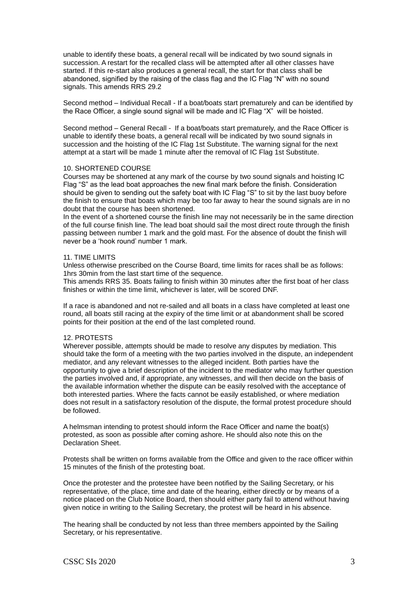unable to identify these boats, a general recall will be indicated by two sound signals in succession. A restart for the recalled class will be attempted after all other classes have started. If this re-start also produces a general recall, the start for that class shall be abandoned, signified by the raising of the class flag and the IC Flag "N" with no sound signals. This amends RRS 29.2

Second method – Individual Recall - If a boat/boats start prematurely and can be identified by the Race Officer, a single sound signal will be made and IC Flag "X" will be hoisted.

Second method – General Recall - If a boat/boats start prematurely, and the Race Officer is unable to identify these boats, a general recall will be indicated by two sound signals in succession and the hoisting of the IC Flag 1st Substitute. The warning signal for the next attempt at a start will be made 1 minute after the removal of IC Flag 1st Substitute.

## 10. SHORTENED COURSE

Courses may be shortened at any mark of the course by two sound signals and hoisting IC Flag "S" as the lead boat approaches the new final mark before the finish. Consideration should be given to sending out the safety boat with IC Flag "S" to sit by the last buoy before the finish to ensure that boats which may be too far away to hear the sound signals are in no doubt that the course has been shortened.

In the event of a shortened course the finish line may not necessarily be in the same direction of the full course finish line. The lead boat should sail the most direct route through the finish passing between number 1 mark and the gold mast. For the absence of doubt the finish will never be a 'hook round' number 1 mark.

#### 11. TIME LIMITS

Unless otherwise prescribed on the Course Board, time limits for races shall be as follows: 1hrs 30min from the last start time of the sequence.

This amends RRS 35. Boats failing to finish within 30 minutes after the first boat of her class finishes or within the time limit, whichever is later, will be scored DNF.

If a race is abandoned and not re-sailed and all boats in a class have completed at least one round, all boats still racing at the expiry of the time limit or at abandonment shall be scored points for their position at the end of the last completed round.

#### 12. PROTESTS

Wherever possible, attempts should be made to resolve any disputes by mediation. This should take the form of a meeting with the two parties involved in the dispute, an independent mediator, and any relevant witnesses to the alleged incident. Both parties have the opportunity to give a brief description of the incident to the mediator who may further question the parties involved and, if appropriate, any witnesses, and will then decide on the basis of the available information whether the dispute can be easily resolved with the acceptance of both interested parties. Where the facts cannot be easily established, or where mediation does not result in a satisfactory resolution of the dispute, the formal protest procedure should be followed.

A helmsman intending to protest should inform the Race Officer and name the boat(s) protested, as soon as possible after coming ashore. He should also note this on the Declaration Sheet.

Protests shall be written on forms available from the Office and given to the race officer within 15 minutes of the finish of the protesting boat.

Once the protester and the protestee have been notified by the Sailing Secretary, or his representative, of the place, time and date of the hearing, either directly or by means of a notice placed on the Club Notice Board, then should either party fail to attend without having given notice in writing to the Sailing Secretary, the protest will be heard in his absence.

The hearing shall be conducted by not less than three members appointed by the Sailing Secretary, or his representative.